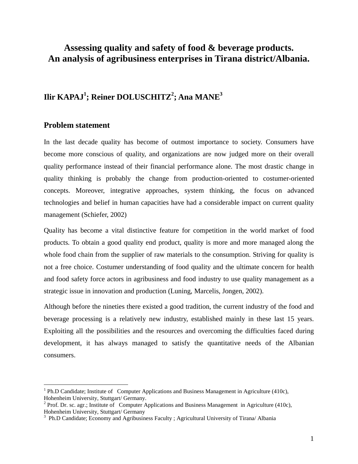# **Assessing quality and safety of food & beverage products. An analysis of agribusiness enterprises in Tirana district/Albania.**

# **Ilir KAPAJ<sup>1</sup> ; Reiner DOLUSCHITZ<sup>2</sup> ; Ana MANE<sup>3</sup>**

## **Problem statement**

<u>.</u>

In the last decade quality has become of outmost importance to society. Consumers have become more conscious of quality, and organizations are now judged more on their overall quality performance instead of their financial performance alone. The most drastic change in quality thinking is probably the change from production-oriented to costumer-oriented concepts. Moreover, integrative approaches, system thinking, the focus on advanced technologies and belief in human capacities have had a considerable impact on current quality management (Schiefer, 2002)

Quality has become a vital distinctive feature for competition in the world market of food products. To obtain a good quality end product, quality is more and more managed along the whole food chain from the supplier of raw materials to the consumption. Striving for quality is not a free choice. Costumer understanding of food quality and the ultimate concern for health and food safety force actors in agribusiness and food industry to use quality management as a strategic issue in innovation and production (Luning, Marcelis, Jongen, 2002).

Although before the nineties there existed a good tradition, the current industry of the food and beverage processing is a relatively new industry, established mainly in these last 15 years. Exploiting all the possibilities and the resources and overcoming the difficulties faced during development, it has always managed to satisfy the quantitative needs of the Albanian consumers.

<sup>&</sup>lt;sup>1</sup> Ph.D Candidate; Institute of Computer Applications and Business Management in Agriculture (410c), Hohenheim University, Stuttgart/ Germany.

<sup>&</sup>lt;sup>2</sup> Prof. Dr. sc. agr.; Institute of Computer Applications and Business Management in Agriculture (410c), Hohenheim University, Stuttgart/ Germany

<sup>&</sup>lt;sup>3</sup> Ph.D Candidate; Economy and Agribusiness Faculty ; Agricultural University of Tirana/ Albania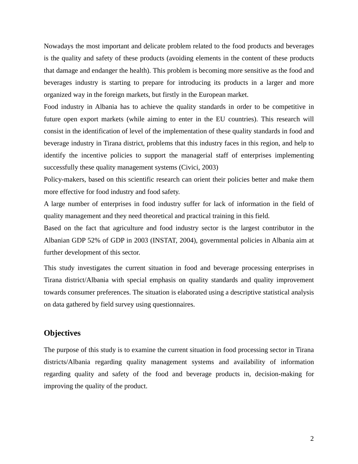Nowadays the most important and delicate problem related to the food products and beverages is the quality and safety of these products (avoiding elements in the content of these products that damage and endanger the health). This problem is becoming more sensitive as the food and beverages industry is starting to prepare for introducing its products in a larger and more organized way in the foreign markets, but firstly in the European market.

Food industry in Albania has to achieve the quality standards in order to be competitive in future open export markets (while aiming to enter in the EU countries). This research will consist in the identification of level of the implementation of these quality standards in food and beverage industry in Tirana district, problems that this industry faces in this region, and help to identify the incentive policies to support the managerial staff of enterprises implementing successfully these quality management systems (Civici, 2003)

Policy-makers, based on this scientific research can orient their policies better and make them more effective for food industry and food safety.

A large number of enterprises in food industry suffer for lack of information in the field of quality management and they need theoretical and practical training in this field.

Based on the fact that agriculture and food industry sector is the largest contributor in the Albanian GDP 52% of GDP in 2003 (INSTAT, 2004), governmental policies in Albania aim at further development of this sector.

This study investigates the current situation in food and beverage processing enterprises in Tirana district/Albania with special emphasis on quality standards and quality improvement towards consumer preferences. The situation is elaborated using a descriptive statistical analysis on data gathered by field survey using questionnaires.

# **Objectives**

The purpose of this study is to examine the current situation in food processing sector in Tirana districts/Albania regarding quality management systems and availability of information regarding quality and safety of the food and beverage products in, decision-making for improving the quality of the product.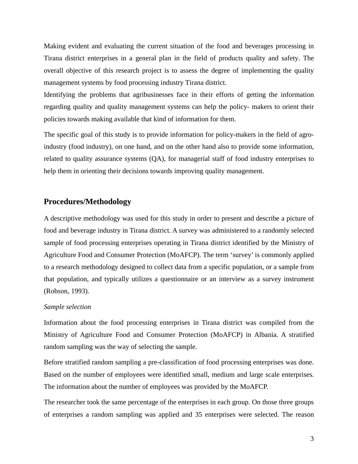Making evident and evaluating the current situation of the food and beverages processing in Tirana district enterprises in a general plan in the field of products quality and safety. The overall objective of this research project is to assess the degree of implementing the quality management systems by food processing industry Tirana district.

Identifying the problems that agribusinesses face in their efforts of getting the information regarding quality and quality management systems can help the policy- makers to orient their policies towards making available that kind of information for them.

The specific goal of this study is to provide information for policy-makers in the field of agroindustry (food industry), on one hand, and on the other hand also to provide some information, related to quality assurance systems (QA), for managerial staff of food industry enterprises to help them in orienting their decisions towards improving quality management.

# **Procedures/Methodology**

A descriptive methodology was used for this study in order to present and describe a picture of food and beverage industry in Tirana district. A survey was administered to a randomly selected sample of food processing enterprises operating in Tirana district identified by the Ministry of Agriculture Food and Consumer Protection (MoAFCP). The term 'survey' is commonly applied to a research methodology designed to collect data from a specific population, or a sample from that population, and typically utilizes a questionnaire or an interview as a survey instrument (Robson, 1993).

#### *Sample selection*

Information about the food processing enterprises in Tirana district was compiled from the Ministry of Agriculture Food and Consumer Protection (MoAFCP) in Albania. A stratified random sampling was the way of selecting the sample.

Before stratified random sampling a pre-classification of food processing enterprises was done. Based on the number of employees were identified small, medium and large scale enterprises. The information about the number of employees was provided by the MoAFCP.

The researcher took the same percentage of the enterprises in each group. On those three groups of enterprises a random sampling was applied and 35 enterprises were selected. The reason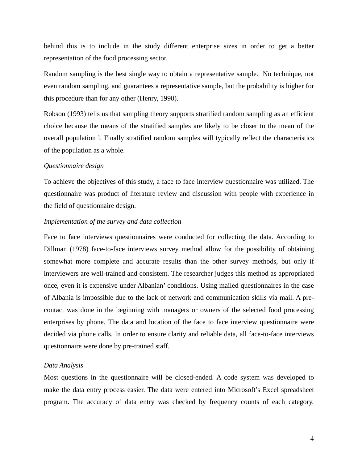behind this is to include in the study different enterprise sizes in order to get a better representation of the food processing sector.

Random sampling is the best single way to obtain a representative sample. No technique, not even random sampling, and guarantees a representative sample, but the probability is higher for this procedure than for any other (Henry, 1990).

Robson (1993) tells us that sampling theory supports stratified random sampling as an efficient choice because the means of the stratified samples are likely to be closer to the mean of the overall population l. Finally stratified random samples will typically reflect the characteristics of the population as a whole.

#### *Questionnaire design*

To achieve the objectives of this study, a face to face interview questionnaire was utilized. The questionnaire was product of literature review and discussion with people with experience in the field of questionnaire design.

#### *Implementation of the survey and data collection*

Face to face interviews questionnaires were conducted for collecting the data. According to Dillman (1978) face-to-face interviews survey method allow for the possibility of obtaining somewhat more complete and accurate results than the other survey methods, but only if interviewers are well-trained and consistent. The researcher judges this method as appropriated once, even it is expensive under Albanian' conditions. Using mailed questionnaires in the case of Albania is impossible due to the lack of network and communication skills via mail. A precontact was done in the beginning with managers or owners of the selected food processing enterprises by phone. The data and location of the face to face interview questionnaire were decided via phone calls. In order to ensure clarity and reliable data, all face-to-face interviews questionnaire were done by pre-trained staff.

#### *Data Analysis*

Most questions in the questionnaire will be closed-ended. A code system was developed to make the data entry process easier. The data were entered into Microsoft's Excel spreadsheet program. The accuracy of data entry was checked by frequency counts of each category.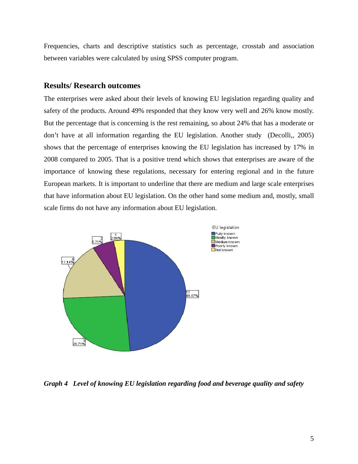Frequencies, charts and descriptive statistics such as percentage, crosstab and association between variables were calculated by using SPSS computer program.

### **Results/ Research outcomes**

The enterprises were asked about their levels of knowing EU legislation regarding quality and safety of the products. Around 49% responded that they know very well and 26% know mostly. But the percentage that is concerning is the rest remaining, so about 24% that has a moderate or don't have at all information regarding the EU legislation. Another study (Decolli,, 2005) shows that the percentage of enterprises knowing the EU legislation has increased by 17% in 2008 compared to 2005. That is a positive trend which shows that enterprises are aware of the importance of knowing these regulations, necessary for entering regional and in the future European markets. It is important to underline that there are medium and large scale enterprises that have information about EU legislation. On the other hand some medium and, mostly, small scale firms do not have any information about EU legislation.



*Graph 4 Level of knowing EU legislation regarding food and beverage quality and safety*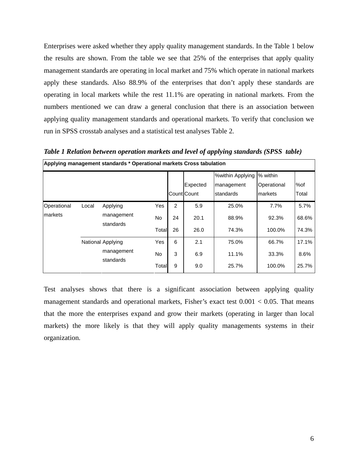Enterprises were asked whether they apply quality management standards. In the Table 1 below the results are shown. From the table we see that 25% of the enterprises that apply quality management standards are operating in local market and 75% which operate in national markets apply these standards. Also 88.9% of the enterprises that don't apply these standards are operating in local markets while the rest 11.1% are operating in national markets. From the numbers mentioned we can draw a general conclusion that there is an association between applying quality management standards and operational markets. To verify that conclusion we run in SPSS crosstab analyses and a statistical test analyses Table 2.

*Table 1 Relation between operation markets and level of applying standards (SPSS table)*  **Applying management standards \* Operational markets Cross tabulation**

|                         |       |                                              |                    |               | Expected<br>Count Count | %within Applying<br>management<br>standards | % within<br>Operational<br>markets | %of<br>Total           |
|-------------------------|-------|----------------------------------------------|--------------------|---------------|-------------------------|---------------------------------------------|------------------------------------|------------------------|
| Operational<br>lmarkets | Local | Applying<br>management<br>standards          | Yes<br>No<br>Total | 2<br>24<br>26 | 5.9<br>20.1<br>26.0     | 25.0%<br>88.9%<br>74.3%                     | 7.7%<br>92.3%<br>100.0%            | 5.7%<br>68.6%<br>74.3% |
|                         |       | National Applying<br>management<br>standards | Yes<br>No<br>Total | 6<br>3<br>9   | 2.1<br>6.9<br>9.0       | 75.0%<br>11.1%<br>25.7%                     | 66.7%<br>33.3%<br>100.0%           | 17.1%<br>8.6%<br>25.7% |

Test analyses shows that there is a significant association between applying quality management standards and operational markets, Fisher's exact test  $0.001 < 0.05$ . That means that the more the enterprises expand and grow their markets (operating in larger than local markets) the more likely is that they will apply quality managements systems in their organization.

 $\mathbf{I}$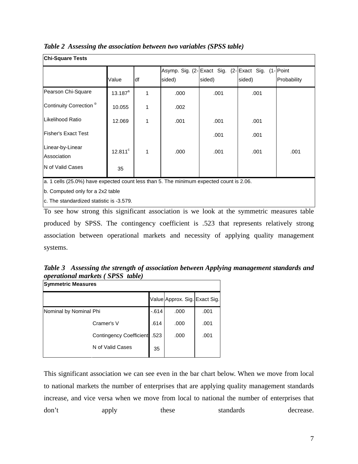| <b>Chi-Square Tests</b>            |              |              |        |        |                                                  |             |  |
|------------------------------------|--------------|--------------|--------|--------|--------------------------------------------------|-------------|--|
|                                    |              |              |        |        | Asymp. Sig. (2-Exact Sig. (2-Exact Sig. (1-Point |             |  |
|                                    | Value        | df           | sided) | sided) | sided)                                           | Probability |  |
| Pearson Chi-Square                 | $13.187^{a}$ | 1            | .000   | .001   | .001                                             |             |  |
| Continuity Correction <sup>b</sup> | 10.055       | 1            | .002   |        |                                                  |             |  |
| Likelihood Ratio                   | 12.069       | 1            | .001   | .001   | .001                                             |             |  |
| Fisher's Exact Test                |              |              |        | .001   | .001                                             |             |  |
| Linear-by-Linear<br>Association    | $12.811^c$   | $\mathbf{1}$ | .000   | .001   | .001                                             | .001        |  |
| <b>IN of Valid Cases</b>           | 35           |              |        |        |                                                  |             |  |

*Table 2 Assessing the association between two variables (SPSS table)* 

a. 1 cells (25.0%) have expected count less than 5. The minimum expected count is 2.06.

b. Computed only for a 2x2 table

c. The standardized statistic is -3.579.

To see how strong this significant association is we look at the symmetric measures table produced by SPSS. The contingency coefficient is .523 that represents relatively strong association between operational markets and necessity of applying quality management systems.

*Table 3 Assessing the strength of association between Applying management standards and operational markets ( SPSS table)* 

| <b>Symmetric Measures</b> |                                |        |                               |      |  |  |
|---------------------------|--------------------------------|--------|-------------------------------|------|--|--|
|                           |                                |        | Value Approx. Sig. Exact Sig. |      |  |  |
| Nominal by Nominal Phi    |                                | $-614$ | .000                          | .001 |  |  |
|                           | Cramer's V                     | .614   | .000                          | .001 |  |  |
|                           | <b>Contingency Coefficient</b> | .523   | .000                          | .001 |  |  |
|                           | N of Valid Cases               | 35     |                               |      |  |  |

This significant association we can see even in the bar chart below. When we move from local to national markets the number of enterprises that are applying quality management standards increase, and vice versa when we move from local to national the number of enterprises that don't apply these standards decrease.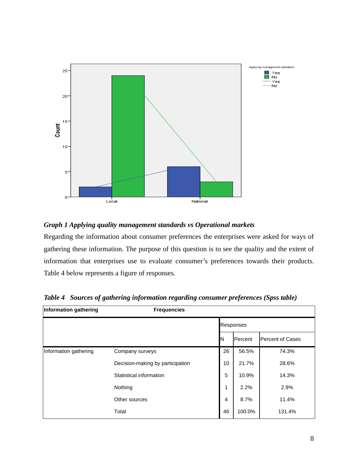

## *Graph 1 Applying quality management standards vs Operational markets*

Regarding the information about consumer preferences the enterprises were asked for ways of gathering these information. The purpose of this question is to see the quality and the extent of information that enterprises use to evaluate consumer's preferences towards their products. Table 4 below represents a figure of responses.

| Information gathering | <b>Frequencies</b>               |                  |         |                         |  |  |
|-----------------------|----------------------------------|------------------|---------|-------------------------|--|--|
|                       |                                  | <b>Responses</b> |         |                         |  |  |
|                       |                                  | ΙN               | Percent | <b>Percent of Cases</b> |  |  |
| Information gathering | Company surveys                  | 26               | 56.5%   | 74.3%                   |  |  |
|                       | Decision-making by participation | 10               | 21.7%   | 28.6%                   |  |  |
|                       | Statistical information          | 5                | 10.9%   | 14.3%                   |  |  |
|                       | Nothing                          | 1                | 2.2%    | 2.9%                    |  |  |
|                       | Other sources                    | $\overline{4}$   | 8.7%    | 11.4%                   |  |  |
|                       | Total                            | 46               | 100.0%  | 131.4%                  |  |  |

*Table 4 Sources of gathering information regarding consumer preferences (Spss table)*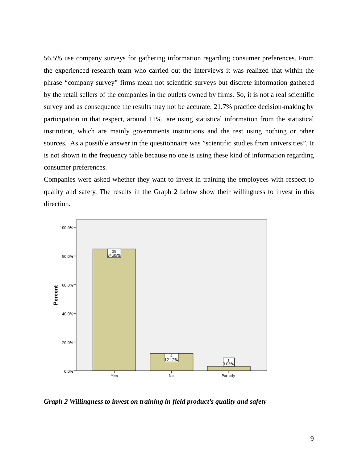56.5% use company surveys for gathering information regarding consumer preferences. From the experienced research team who carried out the interviews it was realized that within the phrase "company survey" firms mean not scientific surveys but discrete information gathered by the retail sellers of the companies in the outlets owned by firms. So, it is not a real scientific survey and as consequence the results may not be accurate. 21.7% practice decision-making by participation in that respect, around 11% are using statistical information from the statistical institution, which are mainly governments institutions and the rest using nothing or other sources. As a possible answer in the questionnaire was "scientific studies from universities". It is not shown in the frequency table because no one is using these kind of information regarding consumer preferences.

Companies were asked whether they want to invest in training the employees with respect to quality and safety. The results in the Graph 2 below show their willingness to invest in this direction.



*Graph 2 Willingness to invest on training in field product's quality and safety*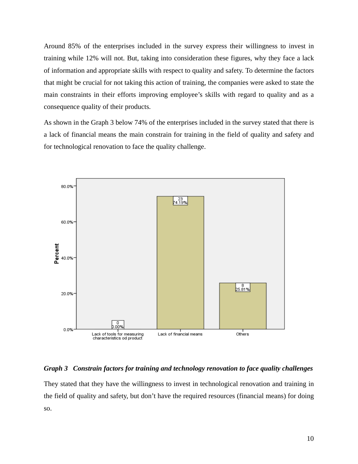Around 85% of the enterprises included in the survey express their willingness to invest in training while 12% will not. But, taking into consideration these figures, why they face a lack of information and appropriate skills with respect to quality and safety. To determine the factors that might be crucial for not taking this action of training, the companies were asked to state the main constraints in their efforts improving employee's skills with regard to quality and as a consequence quality of their products.

As shown in the Graph 3 below 74% of the enterprises included in the survey stated that there is a lack of financial means the main constrain for training in the field of quality and safety and for technological renovation to face the quality challenge.



# *Graph 3 Constrain factors for training and technology renovation to face quality challenges*

They stated that they have the willingness to invest in technological renovation and training in the field of quality and safety, but don't have the required resources (financial means) for doing so.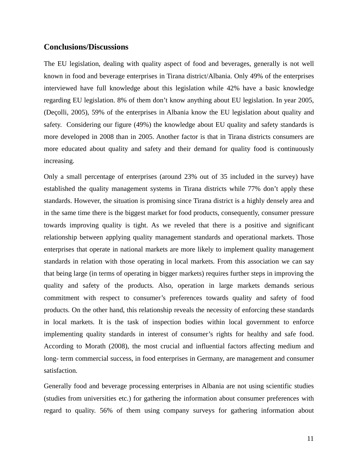## **Conclusions/Discussions**

The EU legislation, dealing with quality aspect of food and beverages, generally is not well known in food and beverage enterprises in Tirana district/Albania. Only 49% of the enterprises interviewed have full knowledge about this legislation while 42% have a basic knowledge regarding EU legislation. 8% of them don't know anything about EU legislation. In year 2005, (Deçolli, 2005), 59% of the enterprises in Albania know the EU legislation about quality and safety. Considering our figure (49%) the knowledge about EU quality and safety standards is more developed in 2008 than in 2005. Another factor is that in Tirana districts consumers are more educated about quality and safety and their demand for quality food is continuously increasing.

Only a small percentage of enterprises (around 23% out of 35 included in the survey) have established the quality management systems in Tirana districts while 77% don't apply these standards. However, the situation is promising since Tirana district is a highly densely area and in the same time there is the biggest market for food products, consequently, consumer pressure towards improving quality is tight. As we reveled that there is a positive and significant relationship between applying quality management standards and operational markets. Those enterprises that operate in national markets are more likely to implement quality management standards in relation with those operating in local markets. From this association we can say that being large (in terms of operating in bigger markets) requires further steps in improving the quality and safety of the products. Also, operation in large markets demands serious commitment with respect to consumer's preferences towards quality and safety of food products. On the other hand, this relationship reveals the necessity of enforcing these standards in local markets. It is the task of inspection bodies within local government to enforce implementing quality standards in interest of consumer's rights for healthy and safe food. According to Morath (2008), the most crucial and influential factors affecting medium and long- term commercial success, in food enterprises in Germany, are management and consumer satisfaction.

Generally food and beverage processing enterprises in Albania are not using scientific studies (studies from universities etc.) for gathering the information about consumer preferences with regard to quality. 56% of them using company surveys for gathering information about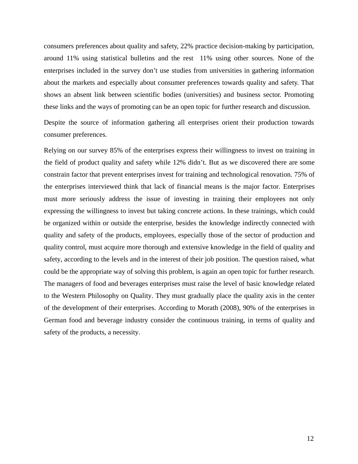consumers preferences about quality and safety, 22% practice decision-making by participation, around 11% using statistical bulletins and the rest 11% using other sources. None of the enterprises included in the survey don't use studies from universities in gathering information about the markets and especially about consumer preferences towards quality and safety. That shows an absent link between scientific bodies (universities) and business sector. Promoting these links and the ways of promoting can be an open topic for further research and discussion.

Despite the source of information gathering all enterprises orient their production towards consumer preferences.

Relying on our survey 85% of the enterprises express their willingness to invest on training in the field of product quality and safety while 12% didn't. But as we discovered there are some constrain factor that prevent enterprises invest for training and technological renovation. 75% of the enterprises interviewed think that lack of financial means is the major factor. Enterprises must more seriously address the issue of investing in training their employees not only expressing the willingness to invest but taking concrete actions. In these trainings, which could be organized within or outside the enterprise, besides the knowledge indirectly connected with quality and safety of the products, employees, especially those of the sector of production and quality control, must acquire more thorough and extensive knowledge in the field of quality and safety, according to the levels and in the interest of their job position. The question raised, what could be the appropriate way of solving this problem, is again an open topic for further research. The managers of food and beverages enterprises must raise the level of basic knowledge related to the Western Philosophy on Quality. They must gradually place the quality axis in the center of the development of their enterprises. According to Morath (2008), 90% of the enterprises in German food and beverage industry consider the continuous training, in terms of quality and safety of the products, a necessity.